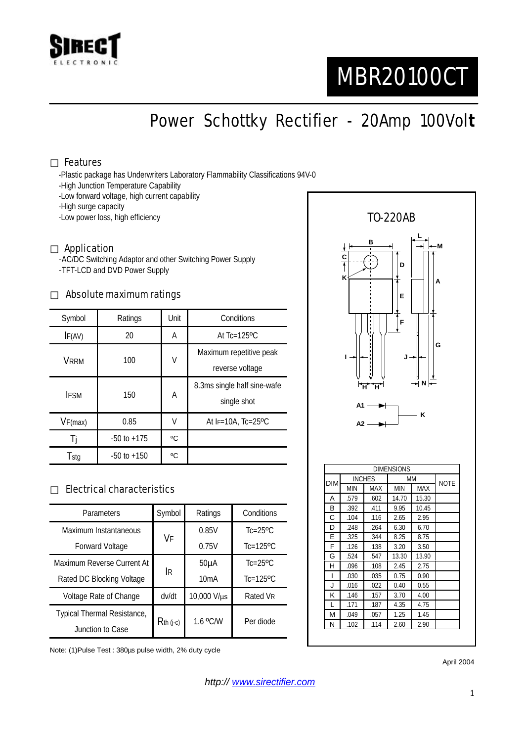

# MBR20100CT

Power Schottky Rectifier - 20Amp 100Vol**t**

### Features

-Plastic package has Underwriters Laboratory Flammability Classifications 94V-0

- -High Junction Temperature Capability
- -Low forward voltage, high current capability
- -High surge capacity
- -Low power loss, high efficiency

#### Application

-AC/DC Switching Adaptor and other Switching Power Supply -TFT-LCD and DVD Power Supply

#### Absolute maximum ratings

| Symbol      | Ratings         | Unit | Conditions                                 |  |
|-------------|-----------------|------|--------------------------------------------|--|
| IF(AV)      | 20              | A    | At $Tc=125$ <sup>o</sup> $C$               |  |
| <b>VRRM</b> | 100             | V    | Maximum repetitive peak                    |  |
|             |                 |      | reverse voltage                            |  |
| <b>IFSM</b> | 150             | A    | 8.3ms single half sine-wafe<br>single shot |  |
| VF(max)     | 0.85            | V    | At $F=10A$ , Tc=25°C                       |  |
| Ti          | $-50$ to $+175$ | °C   |                                            |  |
| Tstg        | $-50$ to $+150$ | °C   |                                            |  |

### Electrical characteristics

| Parameters                  | Symbol      | Ratings     | Conditions                |
|-----------------------------|-------------|-------------|---------------------------|
| Maximum Instantaneous       | VF          | 0.85V       | $Tc=25$ <sup>o</sup> $C$  |
| <b>Forward Voltage</b>      |             | 0.75V       | $Tc=125$ <sup>o</sup> $C$ |
| Maximum Reverse Current At  | İR          | $50\muA$    | $Tc=25$ <sup>o</sup> $C$  |
| Rated DC Blocking Voltage   |             | 10mA        | $Tc=125$ <sup>o</sup> $C$ |
| Voltage Rate of Change      | dv/dt       | 10,000 V/µs | Rated VR                  |
| Typical Thermal Resistance, | $Rth$ (j-c) | 1.6 °C/W    | Per diode                 |
| Junction to Case            |             |             |                           |

Note: (1)Pulse Test : 380µs pulse width, 2% duty cycle



April 2004